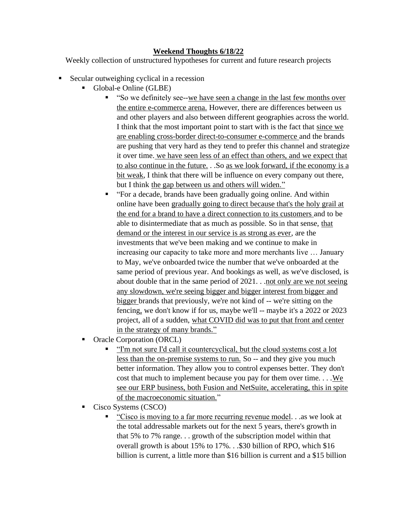## **Weekend Thoughts 6/18/22**

Weekly collection of unstructured hypotheses for current and future research projects

- Secular outweighing cyclical in a recession
	- Global-e Online (GLBE)
		- "So we definitely see--we have seen a change in the last few months over the entire e-commerce arena. However, there are differences between us and other players and also between different geographies across the world. I think that the most important point to start with is the fact that since we are enabling cross-border direct-to-consumer e-commerce and the brands are pushing that very hard as they tend to prefer this channel and strategize it over time. we have seen less of an effect than others, and we expect that to also continue in the future. . .So as we look forward, if the economy is a bit weak, I think that there will be influence on every company out there, but I think the gap between us and others will widen."
		- "For a decade, brands have been gradually going online. And within online have been gradually going to direct because that's the holy grail at the end for a brand to have a direct connection to its customers and to be able to disintermediate that as much as possible. So in that sense, that demand or the interest in our service is as strong as ever, are the investments that we've been making and we continue to make in increasing our capacity to take more and more merchants live … January to May, we've onboarded twice the number that we've onboarded at the same period of previous year. And bookings as well, as we've disclosed, is about double that in the same period of  $2021$ ... not only are we not seeing any slowdown, we're seeing bigger and bigger interest from bigger and bigger brands that previously, we're not kind of -- we're sitting on the fencing, we don't know if for us, maybe we'll -- maybe it's a 2022 or 2023 project, all of a sudden, what COVID did was to put that front and center in the strategy of many brands."
	- Oracle Corporation (ORCL)
		- "I'm not sure I'd call it countercyclical, but the cloud systems cost a lot less than the on-premise systems to run. So -- and they give you much better information. They allow you to control expenses better. They don't cost that much to implement because you pay for them over time.  $\dots$  We see our ERP business, both Fusion and NetSuite, accelerating, this in spite of the macroeconomic situation."
	- Cisco Systems (CSCO)
		- "Cisco is moving to a far more recurring revenue model. . .as we look at the total addressable markets out for the next 5 years, there's growth in that 5% to 7% range. . . growth of the subscription model within that overall growth is about 15% to 17%. . .\$30 billion of RPO, which \$16 billion is current, a little more than \$16 billion is current and a \$15 billion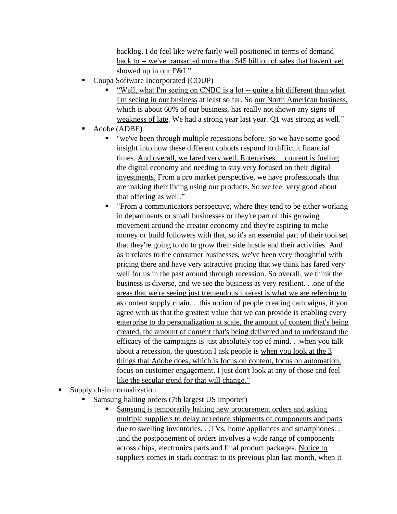backlog. I do feel like we're fairly well positioned in terms of demand back to -- we've transacted more than \$45 billion of sales that haven't yet showed up in our P&L"

- Coupa Software Incorporated (COUP)
	- "Well, what I'm seeing on CNBC is a lot -- quite a bit different than what I'm seeing in our business at least so far. So our North American business, which is about 60% of our business, has really not shown any signs of weakness of late. We had a strong year last year. Q1 was strong as well."
- Adobe (ADBE)
	- <u>"we've been through multiple recessions before.</u> So we have some good insight into how these different cohorts respond to difficult financial times. And overall, we fared very well. Enterprises. . .content is fueling the digital economy and needing to stay very focused on their digital investments. From a pro market perspective, we have professionals that are making their living using our products. So we feel very good about that offering as well."
	- "From a communicators perspective, where they tend to be either working in departments or small businesses or they're part of this growing movement around the creator economy and they're aspiring to make money or build followers with that, so it's an essential part of their tool set that they're going to do to grow their side hustle and their activities. And as it relates to the consumer businesses, we've been very thoughtful with pricing there and have very attractive pricing that we think has fared very well for us in the past around through recession. So overall, we think the business is diverse, and we see the business as very resilient. . .one of the areas that we're seeing just tremendous interest is what we are referring to as content supply chain. . .this notion of people creating campaigns, if you agree with us that the greatest value that we can provide is enabling every enterprise to do personalization at scale, the amount of content that's being created, the amount of content that's being delivered and to understand the efficacy of the campaigns is just absolutely top of mind. . .when you talk about a recession, the question I ask people is when you look at the 3 things that Adobe does, which is focus on content, focus on automation, focus on customer engagement, I just don't look at any of those and feel like the secular trend for that will change."
- Supply chain normalization
	- Samsung halting orders (7th largest US importer)
		- **Examsung is temporarily halting new procurement orders and asking** multiple suppliers to delay or reduce shipments of components and parts due to swelling inventories. . .TVs, home appliances and smartphones. . .and the postponement of orders involves a wide range of components across chips, electronics parts and final product packages. Notice to suppliers comes in stark contrast to its previous plan last month, when it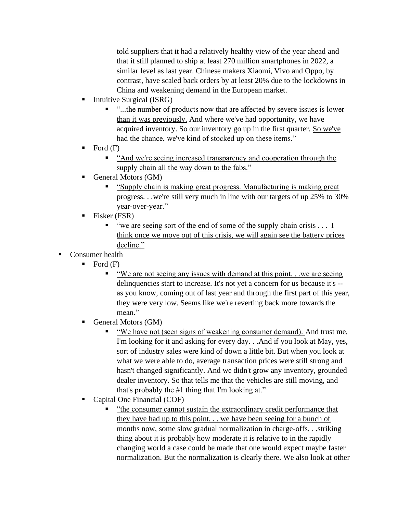told suppliers that it had a relatively healthy view of the year ahead and that it still planned to ship at least 270 million smartphones in 2022, a similar level as last year. Chinese makers Xiaomi, Vivo and Oppo, by contrast, have scaled back orders by at least 20% due to the lockdowns in China and weakening demand in the European market.

- Intuitive Surgical (ISRG)
	- "...the number of products now that are affected by severe issues is lower than it was previously. And where we've had opportunity, we have acquired inventory. So our inventory go up in the first quarter. So we've had the chance, we've kind of stocked up on these items."
- $\blacksquare$  Ford  $(F)$ 
	- "And we're seeing increased transparency and cooperation through the supply chain all the way down to the fabs."
- General Motors (GM)
	- "Supply chain is making great progress. Manufacturing is making great progress. . .we're still very much in line with our targets of up 25% to 30% year-over-year."
- $\blacksquare$  Fisker (FSR)
	- "we are seeing sort of the end of some of the supply chain crisis . . . I think once we move out of this crisis, we will again see the battery prices decline."
- Consumer health
	- $\blacksquare$  Ford  $(F)$ 
		- "We are not seeing any issues with demand at this point. . .we are seeing delinquencies start to increase. It's not yet a concern for us because it's - as you know, coming out of last year and through the first part of this year, they were very low. Seems like we're reverting back more towards the mean."
	- General Motors (GM)
		- "We have not (seen signs of weakening consumer demand). And trust me, I'm looking for it and asking for every day. . .And if you look at May, yes, sort of industry sales were kind of down a little bit. But when you look at what we were able to do, average transaction prices were still strong and hasn't changed significantly. And we didn't grow any inventory, grounded dealer inventory. So that tells me that the vehicles are still moving, and that's probably the #1 thing that I'm looking at."
	- Capital One Financial (COF)
		- "the consumer cannot sustain the extraordinary credit performance that they have had up to this point. . . we have been seeing for a bunch of months now, some slow gradual normalization in charge-offs. . .striking thing about it is probably how moderate it is relative to in the rapidly changing world a case could be made that one would expect maybe faster normalization. But the normalization is clearly there. We also look at other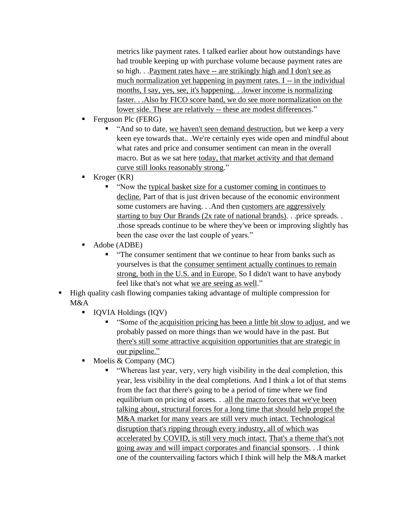metrics like payment rates. I talked earlier about how outstandings have had trouble keeping up with purchase volume because payment rates are so high. . . Payment rates have -- are strikingly high and I don't see as much normalization yet happening in payment rates. I -- in the individual months, I say, yes, see, it's happening. . .lower income is normalizing faster. . .Also by FICO score band, we do see more normalization on the lower side. These are relatively -- these are modest differences."

- Ferguson Plc (FERG)
	- "And so to date, we haven't seen demand destruction, but we keep a very keen eye towards that.. .We're certainly eyes wide open and mindful about what rates and price and consumer sentiment can mean in the overall macro. But as we sat here today, that market activity and that demand curve still looks reasonably strong."
- $Kroger (KR)$ 
	- "Now the typical basket size for a customer coming in continues to decline. Part of that is just driven because of the economic environment some customers are having. . .And then customers are aggressively starting to buy Our Brands (2x rate of national brands). . .price spreads. . .those spreads continue to be where they've been or improving slightly has been the case over the last couple of years."
- Adobe (ADBE)
	- "The consumer sentiment that we continue to hear from banks such as yourselves is that the consumer sentiment actually continues to remain strong, both in the U.S. and in Europe. So I didn't want to have anybody feel like that's not what we are seeing as well."
- High quality cash flowing companies taking advantage of multiple compression for M&A
	- IQVIA Holdings (IQV)
		- **Example 1** "Some of the acquisition pricing has been a little bit slow to adjust, and we probably passed on more things than we would have in the past. But there's still some attractive acquisition opportunities that are strategic in our pipeline."
	- Moelis  $& Company(MC)$ 
		- "Whereas last year, very, very high visibility in the deal completion, this year, less visibility in the deal completions. And I think a lot of that stems from the fact that there's going to be a period of time where we find equilibrium on pricing of assets. . .all the macro forces that we've been talking about, structural forces for a long time that should help propel the M&A market for many years are still very much intact. Technological disruption that's ripping through every industry, all of which was accelerated by COVID, is still very much intact. That's a theme that's not going away and will impact corporates and financial sponsors. . .I think one of the countervailing factors which I think will help the M&A market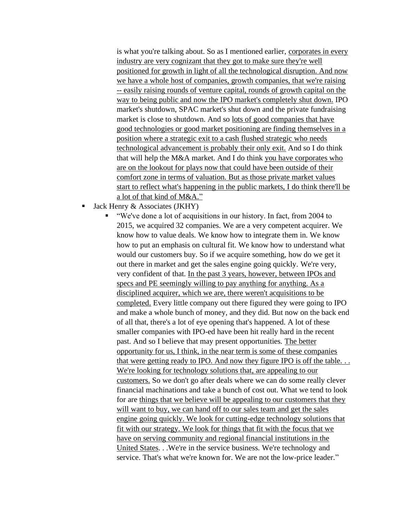is what you're talking about. So as I mentioned earlier, corporates in every industry are very cognizant that they got to make sure they're well positioned for growth in light of all the technological disruption. And now we have a whole host of companies, growth companies, that we're raising -- easily raising rounds of venture capital, rounds of growth capital on the way to being public and now the IPO market's completely shut down. IPO market's shutdown, SPAC market's shut down and the private fundraising market is close to shutdown. And so lots of good companies that have good technologies or good market positioning are finding themselves in a position where a strategic exit to a cash flushed strategic who needs technological advancement is probably their only exit. And so I do think that will help the M&A market. And I do think you have corporates who are on the lookout for plays now that could have been outside of their comfort zone in terms of valuation. But as those private market values start to reflect what's happening in the public markets, I do think there'll be a lot of that kind of M&A."

- Jack Henry  $&$  Associates (JKHY)
	- "We've done a lot of acquisitions in our history. In fact, from 2004 to 2015, we acquired 32 companies. We are a very competent acquirer. We know how to value deals. We know how to integrate them in. We know how to put an emphasis on cultural fit. We know how to understand what would our customers buy. So if we acquire something, how do we get it out there in market and get the sales engine going quickly. We're very, very confident of that. In the past 3 years, however, between IPOs and specs and PE seemingly willing to pay anything for anything. As a disciplined acquirer, which we are, there weren't acquisitions to be completed. Every little company out there figured they were going to IPO and make a whole bunch of money, and they did. But now on the back end of all that, there's a lot of eye opening that's happened. A lot of these smaller companies with IPO-ed have been hit really hard in the recent past. And so I believe that may present opportunities. The better opportunity for us, I think, in the near term is some of these companies that were getting ready to IPO. And now they figure IPO is off the table. . . We're looking for technology solutions that, are appealing to our customers. So we don't go after deals where we can do some really clever financial machinations and take a bunch of cost out. What we tend to look for are things that we believe will be appealing to our customers that they will want to buy, we can hand off to our sales team and get the sales engine going quickly. We look for cutting-edge technology solutions that fit with our strategy. We look for things that fit with the focus that we have on serving community and regional financial institutions in the United States. . .We're in the service business. We're technology and service. That's what we're known for. We are not the low-price leader."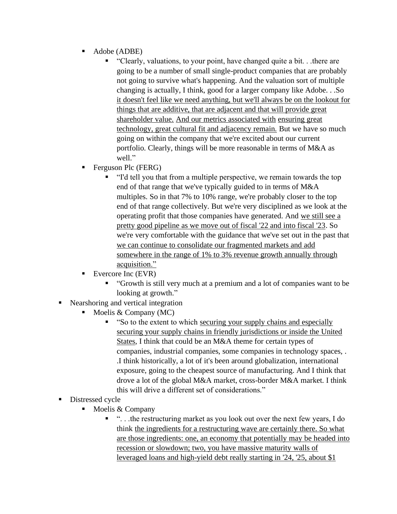- Adobe (ADBE)
	- "Clearly, valuations, to your point, have changed quite a bit. . .there are going to be a number of small single-product companies that are probably not going to survive what's happening. And the valuation sort of multiple changing is actually, I think, good for a larger company like Adobe. . .So it doesn't feel like we need anything, but we'll always be on the lookout for things that are additive, that are adjacent and that will provide great shareholder value. And our metrics associated with ensuring great technology, great cultural fit and adjacency remain. But we have so much going on within the company that we're excited about our current portfolio. Clearly, things will be more reasonable in terms of M&A as well."
- **•** Ferguson Plc (FERG)
	- "I'd tell you that from a multiple perspective, we remain towards the top end of that range that we've typically guided to in terms of M&A multiples. So in that 7% to 10% range, we're probably closer to the top end of that range collectively. But we're very disciplined as we look at the operating profit that those companies have generated. And we still see a pretty good pipeline as we move out of fiscal '22 and into fiscal '23. So we're very comfortable with the guidance that we've set out in the past that we can continue to consolidate our fragmented markets and add somewhere in the range of 1% to 3% revenue growth annually through acquisition."
- $\blacksquare$  Evercore Inc (EVR)
	- "Growth is still very much at a premium and a lot of companies want to be looking at growth."
- Nearshoring and vertical integration
	- $\blacksquare$  Moelis & Company (MC)
		- "So to the extent to which securing your supply chains and especially securing your supply chains in friendly jurisdictions or inside the United States, I think that could be an M&A theme for certain types of companies, industrial companies, some companies in technology spaces, . .I think historically, a lot of it's been around globalization, international exposure, going to the cheapest source of manufacturing. And I think that drove a lot of the global M&A market, cross-border M&A market. I think this will drive a different set of considerations."
- Distressed cycle
	- $\blacksquare$  Moelis & Company
		- "...the restructuring market as you look out over the next few years, I do think the ingredients for a restructuring wave are certainly there. So what are those ingredients: one, an economy that potentially may be headed into recession or slowdown; two, you have massive maturity walls of leveraged loans and high-yield debt really starting in '24, '25, about \$1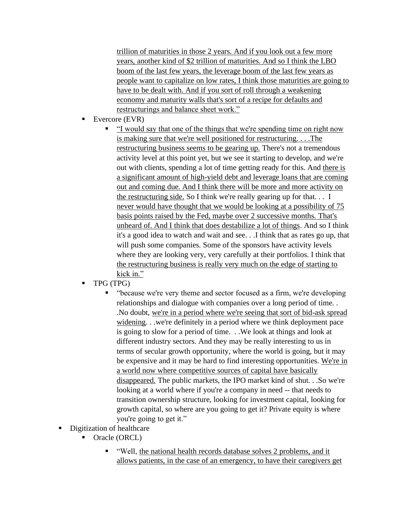trillion of maturities in those 2 years. And if you look out a few more years, another kind of \$2 trillion of maturities. And so I think the LBO boom of the last few years, the leverage boom of the last few years as people want to capitalize on low rates, I think those maturities are going to have to be dealt with. And if you sort of roll through a weakening economy and maturity walls that's sort of a recipe for defaults and restructurings and balance sheet work."

- Evercore (EVR)
	- "I would say that one of the things that we're spending time on right now is making sure that we're well positioned for restructuring. . . .The restructuring business seems to be gearing up. There's not a tremendous activity level at this point yet, but we see it starting to develop, and we're out with clients, spending a lot of time getting ready for this. And there is a significant amount of high-yield debt and leverage loans that are coming out and coming due. And I think there will be more and more activity on the restructuring side. So I think we're really gearing up for that. . . I never would have thought that we would be looking at a possibility of 75 basis points raised by the Fed, maybe over 2 successive months. That's unheard of. And I think that does destabilize a lot of things. And so I think it's a good idea to watch and wait and see. . .I think that as rates go up, that will push some companies. Some of the sponsors have activity levels where they are looking very, very carefully at their portfolios. I think that the restructuring business is really very much on the edge of starting to kick in."
- TPG (TPG)
	- "because we're very theme and sector focused as a firm, we're developing relationships and dialogue with companies over a long period of time. . .No doubt, we're in a period where we're seeing that sort of bid-ask spread widening. . .we're definitely in a period where we think deployment pace is going to slow for a period of time. . .We look at things and look at different industry sectors. And they may be really interesting to us in terms of secular growth opportunity, where the world is going, but it may be expensive and it may be hard to find interesting opportunities. We're in a world now where competitive sources of capital have basically disappeared. The public markets, the IPO market kind of shut. . .So we're looking at a world where if you're a company in need -- that needs to transition ownership structure, looking for investment capital, looking for growth capital, so where are you going to get it? Private equity is where you're going to get it."
- **Digitization of healthcare** 
	- Oracle (ORCL)
		- "Well, the national health records database solves 2 problems, and it allows patients, in the case of an emergency, to have their caregivers get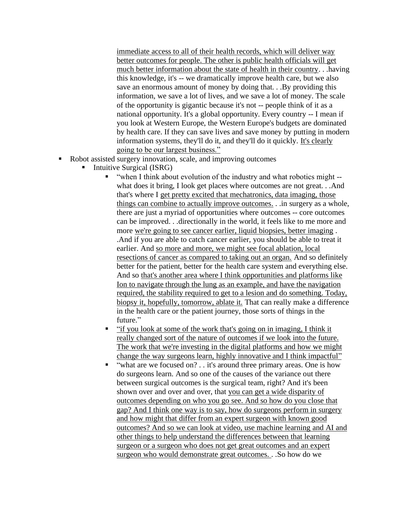immediate access to all of their health records, which will deliver way better outcomes for people. The other is public health officials will get much better information about the state of health in their country. . .having this knowledge, it's -- we dramatically improve health care, but we also save an enormous amount of money by doing that. . .By providing this information, we save a lot of lives, and we save a lot of money. The scale of the opportunity is gigantic because it's not -- people think of it as a national opportunity. It's a global opportunity. Every country -- I mean if you look at Western Europe, the Western Europe's budgets are dominated by health care. If they can save lives and save money by putting in modern information systems, they'll do it, and they'll do it quickly. It's clearly going to be our largest business."

- Robot assisted surgery innovation, scale, and improving outcomes
	- Intuitive Surgical (ISRG)
		- "when I think about evolution of the industry and what robotics might -what does it bring, I look get places where outcomes are not great. . .And that's where I get pretty excited that mechatronics, data imaging, those things can combine to actually improve outcomes. . .in surgery as a whole, there are just a myriad of opportunities where outcomes -- core outcomes can be improved. . .directionally in the world, it feels like to me more and more we're going to see cancer earlier, liquid biopsies, better imaging . .And if you are able to catch cancer earlier, you should be able to treat it earlier. And so more and more, we might see focal ablation, local resections of cancer as compared to taking out an organ. And so definitely better for the patient, better for the health care system and everything else. And so that's another area where I think opportunities and platforms like Ion to navigate through the lung as an example, and have the navigation required, the stability required to get to a lesion and do something. Today, biopsy it, hopefully, tomorrow, ablate it. That can really make a difference in the health care or the patient journey, those sorts of things in the future."
		- "if you look at some of the work that's going on in imaging, I think it really changed sort of the nature of outcomes if we look into the future. The work that we're investing in the digital platforms and how we might change the way surgeons learn, highly innovative and I think impactful"
		- "what are we focused on? . . it's around three primary areas. One is how do surgeons learn. And so one of the causes of the variance out there between surgical outcomes is the surgical team, right? And it's been shown over and over and over, that you can get a wide disparity of outcomes depending on who you go see. And so how do you close that gap? And I think one way is to say, how do surgeons perform in surgery and how might that differ from an expert surgeon with known good outcomes? And so we can look at video, use machine learning and AI and other things to help understand the differences between that learning surgeon or a surgeon who does not get great outcomes and an expert surgeon who would demonstrate great outcomes. . .So how do we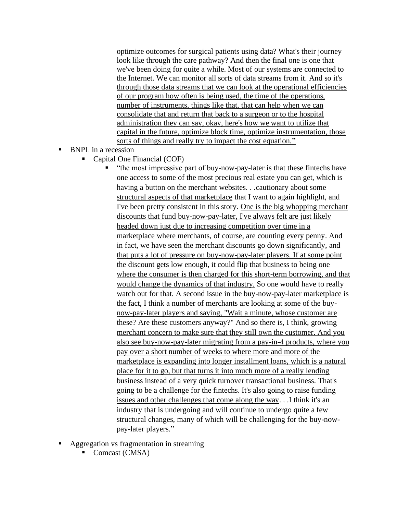optimize outcomes for surgical patients using data? What's their journey look like through the care pathway? And then the final one is one that we've been doing for quite a while. Most of our systems are connected to the Internet. We can monitor all sorts of data streams from it. And so it's through those data streams that we can look at the operational efficiencies of our program how often is being used, the time of the operations, number of instruments, things like that, that can help when we can consolidate that and return that back to a surgeon or to the hospital administration they can say, okay, here's how we want to utilize that capital in the future, optimize block time, optimize instrumentation, those sorts of things and really try to impact the cost equation."

- BNPL in a recession
	- Capital One Financial (COF)

"the most impressive part of buy-now-pay-later is that these fintechs have one access to some of the most precious real estate you can get, which is having a button on the merchant websites. . .cautionary about some structural aspects of that marketplace that I want to again highlight, and I've been pretty consistent in this story. One is the big whopping merchant discounts that fund buy-now-pay-later, I've always felt are just likely headed down just due to increasing competition over time in a marketplace where merchants, of course, are counting every penny. And in fact, we have seen the merchant discounts go down significantly, and that puts a lot of pressure on buy-now-pay-later players. If at some point the discount gets low enough, it could flip that business to being one where the consumer is then charged for this short-term borrowing, and that would change the dynamics of that industry. So one would have to really watch out for that. A second issue in the buy-now-pay-later marketplace is the fact, I think a number of merchants are looking at some of the buynow-pay-later players and saying, "Wait a minute, whose customer are these? Are these customers anyway?" And so there is, I think, growing merchant concern to make sure that they still own the customer. And you also see buy-now-pay-later migrating from a pay-in-4 products, where you pay over a short number of weeks to where more and more of the marketplace is expanding into longer installment loans, which is a natural place for it to go, but that turns it into much more of a really lending business instead of a very quick turnover transactional business. That's going to be a challenge for the fintechs. It's also going to raise funding issues and other challenges that come along the way. . .I think it's an industry that is undergoing and will continue to undergo quite a few structural changes, many of which will be challenging for the buy-nowpay-later players."

- Aggregation vs fragmentation in streaming
	- Comcast (CMSA)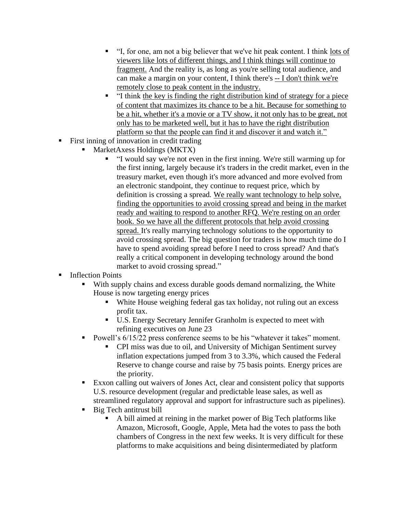- "I, for one, am not a big believer that we've hit peak content. I think lots of viewers like lots of different things, and I think things will continue to fragment. And the reality is, as long as you're selling total audience, and can make a margin on your content, I think there's -- I don't think we're remotely close to peak content in the industry.
- "I think the key is finding the right distribution kind of strategy for a piece of content that maximizes its chance to be a hit. Because for something to be a hit, whether it's a movie or a TV show, it not only has to be great, not only has to be marketed well, but it has to have the right distribution platform so that the people can find it and discover it and watch it."
- First inning of innovation in credit trading
	- MarketAxess Holdings (MKTX)
		- "I would say we're not even in the first inning. We're still warming up for the first inning, largely because it's traders in the credit market, even in the treasury market, even though it's more advanced and more evolved from an electronic standpoint, they continue to request price, which by definition is crossing a spread. We really want technology to help solve, finding the opportunities to avoid crossing spread and being in the market ready and waiting to respond to another RFQ. We're resting on an order book. So we have all the different protocols that help avoid crossing spread. It's really marrying technology solutions to the opportunity to avoid crossing spread. The big question for traders is how much time do I have to spend avoiding spread before I need to cross spread? And that's really a critical component in developing technology around the bond market to avoid crossing spread."
- **Inflection Points** 
	- With supply chains and excess durable goods demand normalizing, the White House is now targeting energy prices
		- White House weighing federal gas tax holiday, not ruling out an excess profit tax.
		- U.S. Energy Secretary Jennifer Granholm is expected to meet with refining executives on June 23
	- Powell's  $6/15/22$  press conference seems to be his "whatever it takes" moment.
		- CPI miss was due to oil, and University of Michigan Sentiment survey inflation expectations jumped from 3 to 3.3%, which caused the Federal Reserve to change course and raise by 75 basis points. Energy prices are the priority.
	- Exxon calling out waivers of Jones Act, clear and consistent policy that supports U.S. resource development (regular and predictable lease sales, as well as streamlined regulatory approval and support for infrastructure such as pipelines).
	- Big Tech antitrust bill
		- A bill aimed at reining in the market power of Big Tech platforms like Amazon, Microsoft, Google, Apple, Meta had the votes to pass the both chambers of Congress in the next few weeks. It is very difficult for these platforms to make acquisitions and being disintermediated by platform